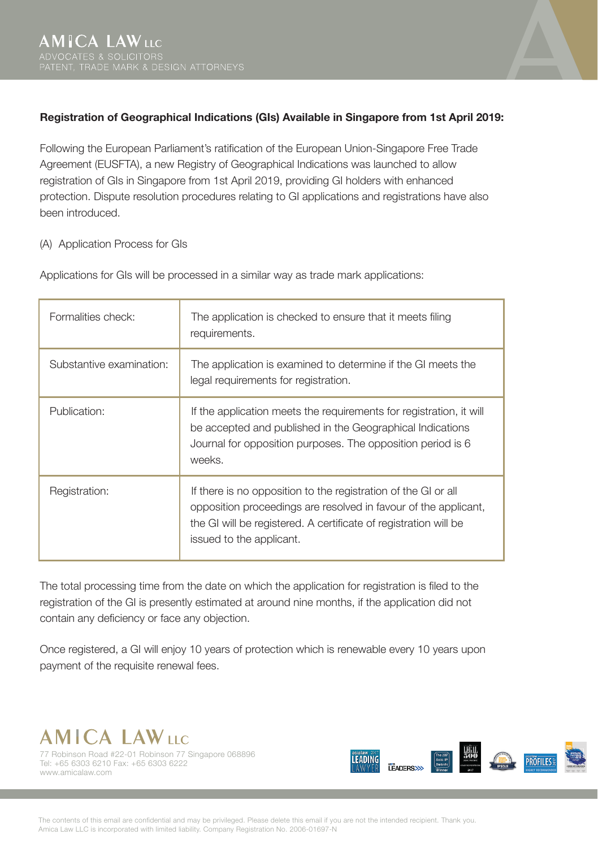

## **Registration of Geographical Indications (GIs) Available in Singapore from 1st April 2019:**

Following the European Parliament's ratification of the European Union-Singapore Free Trade Agreement (EUSFTA), a new Registry of Geographical Indications was launched to allow registration of GIs in Singapore from 1st April 2019, providing GI holders with enhanced protection. Dispute resolution procedures relating to GI applications and registrations have also been introduced.

## (A) Application Process for GIs

| Formalities check:       | The application is checked to ensure that it meets filing<br>requirements.                                                                                                                                                        |
|--------------------------|-----------------------------------------------------------------------------------------------------------------------------------------------------------------------------------------------------------------------------------|
| Substantive examination: | The application is examined to determine if the GI meets the<br>legal requirements for registration.                                                                                                                              |
| Publication:             | If the application meets the requirements for registration, it will<br>be accepted and published in the Geographical Indications<br>Journal for opposition purposes. The opposition period is 6<br>weeks.                         |
| Registration:            | If there is no opposition to the registration of the GI or all<br>opposition proceedings are resolved in favour of the applicant,<br>the GI will be registered. A certificate of registration will be<br>issued to the applicant. |

Applications for GIs will be processed in a similar way as trade mark applications:

The total processing time from the date on which the application for registration is filed to the registration of the GI is presently estimated at around nine months, if the application did not contain any deficiency or face any objection.

Once registered, a GI will enjoy 10 years of protection which is renewable every 10 years upon payment of the requisite renewal fees.



77 Robinson Road #22-01 Robinson 77 Singapore 068896 Tel: +65 6303 6210 Fax: +65 6303 6222 www.amicalaw.com



The contents of this email are confidential and may be privileged. Please delete this email if you are not the intended recipient. Thank you. Amica Law LLC is incorporated with limited liability. Company Registration No. 2006-01697-N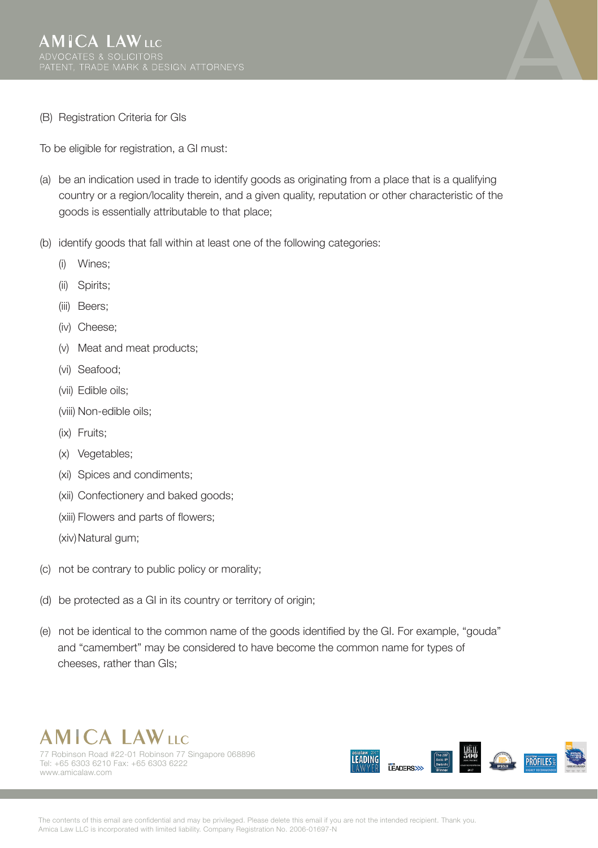

(B) Registration Criteria for GIs

To be eligible for registration, a GI must:

- (a) be an indication used in trade to identify goods as originating from a place that is a qualifying country or a region/locality therein, and a given quality, reputation or other characteristic of the goods is essentially attributable to that place;
- (b) identify goods that fall within at least one of the following categories:
	- (i) Wines;
	- (ii) Spirits;
	- (iii) Beers;
	- (iv) Cheese;
	- (v) Meat and meat products;
	- (vi) Seafood;
	- (vii) Edible oils;
	- (viii) Non-edible oils;
	- (ix) Fruits;
	- (x) Vegetables;
	- (xi) Spices and condiments;
	- (xii) Confectionery and baked goods;
	- (xiii) Flowers and parts of flowers;

(xiv) Natural gum;

- (c) not be contrary to public policy or morality;
- (d) be protected as a GI in its country or territory of origin;
- (e) not be identical to the common name of the goods identified by the GI. For example, "gouda" and "camembert" may be considered to have become the common name for types of cheeses, rather than GIs;



77 Robinson Road #22-01 Robinson 77 Singapore 068896 Tel: +65 6303 6210 Fax: +65 6303 6222 www.amicalaw.com



The contents of this email are confidential and may be privileged. Please delete this email if you are not the intended recipient. Thank you. Amica Law LLC is incorporated with limited liability. Company Registration No. 2006-01697-N